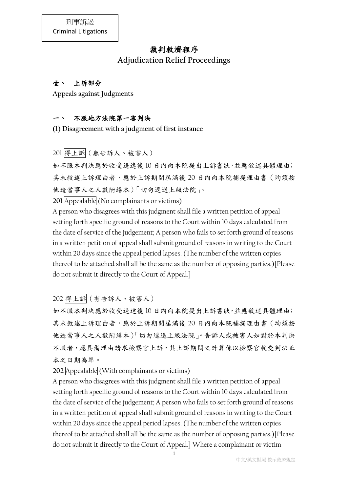# 裁判救濟程序

**Adjudication Relief Proceedings**

# 壹、 上訴部分

**Appeals against Judgments**

## 一、 不服地方法院第一審判決

**(1) Disagreement with a judgment of first instance**

201 得上訴(無告訴人、被害人)

如不服本判決應於收受送達後 10 日內向本院提出上訴書狀,並應敘述具體理由; 其未敘述上訴理由者,應於上訴期間屆滿後 20 日內向本院補提理由書(均須按 他造當事人之人數附繕本)「切勿逕送上級法院」。

201 Appealable (No complainants or victims)

A person who disagrees with this judgment shall file a written petition of appeal setting forth specific ground of reasons to the Court within 10 days calculated from the date of service of the judgement; A person who fails to set forth ground of reasons in a written petition of appeal shall submit ground of reasons in writing to the Court within 20 days since the appeal period lapses. (The number of the written copies thereof to be attached shall all be the same as the number of opposing parties.)[Please do not submit it directly to the Court of Appeal.]

202 得上訴(有告訴人、被害人)

如不服本判決應於收受送達後 10 日內向本院提出上訴書狀,並應敘述具體理由; 其未敘述上訴理由者,應於上訴期間屆滿後 20 日內向本院補提理由書(均須按 他造當事人之人數附繕本)「切勿逕送上級法院」。告訴人或被害人如對於本判決 不服者,應具備理由請求檢察官上訴,其上訴期間之計算係以檢察官收受判決正 本之日期為準。

**202** Appealable (With complainants or victims)

A person who disagrees with this judgment shall file a written petition of appeal setting forth specific ground of reasons to the Court within 10 days calculated from the date of service of the judgement; A person who fails to set forth ground of reasons in a written petition of appeal shall submit ground of reasons in writing to the Court within 20 days since the appeal period lapses. (The number of the written copies thereof to be attached shall all be the same as the number of opposing parties.)[Please do not submit it directly to the Court of Appeal.] Where a complainant or victim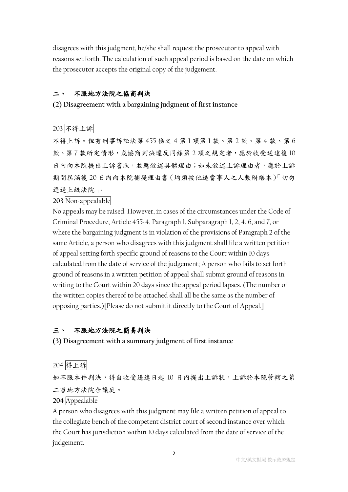disagrees with this judgment, he/she shall request the prosecutor to appeal with reasons set forth. The calculation of such appeal period is based on the date on which the prosecutor accepts the original copy of the judgement.

#### 二、 不服地方法院之協商判決

**(2) Disagreement with a bargaining judgment of first instance**

## 203 不得上訴

不得上訴。但有刑事訴訟法第 455 條之 4 第 1 項第 1 款、第 2 款、第 4 款、第 6 款、第7款所定情形,或協商判決違反同條第2項之規定者,應於收受送達後10 日內向本院提出上訴書狀,並應敘述具體理由;如未敘述上訴理由者,應於上訴 期間屆滿後 20 日內向本院補提理由書(均須按他造當事人之人數附繕本)「切勿 逕送上級法院」。

#### **203** Non-appealable

No appeals may be raised. However, in cases of the circumstances under the Code of Criminal Procedure, Article 455-4, Paragraph 1, Subparagraph 1, 2, 4, 6, and 7, or where the bargaining judgment is in violation of the provisions of Paragraph 2 of the same Article, a person who disagrees with this judgment shall file a written petition of appeal setting forth specific ground of reasons to the Court within 10 days calculated from the date of service of the judgement; A person who fails to set forth ground of reasons in a written petition of appeal shall submit ground of reasons in writing to the Court within 20 days since the appeal period lapses. (The number of the written copies thereof to be attached shall all be the same as the number of opposing parties.)[Please do not submit it directly to the Court of Appeal.]

#### 三、 不服地方法院之簡易判決

**(3) Disagreement with a summary judgment of first instance**

#### 204 得上訴

如不服本件判決,得自收受送達日起 10 日內提出上訴狀,上訴於本院管轄之第 二審地方法院合議庭。

### **204** Appealable

A person who disagrees with this judgment may file a written petition of appeal to the collegiate bench of the competent district court of second instance over which the Court has jurisdiction within 10 days calculated from the date of service of the judgement.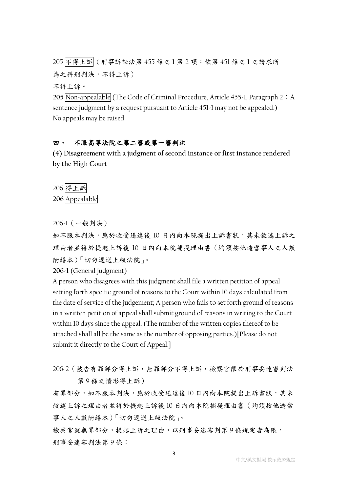205 不得上訴(刑事訴訟法第 455 條之 1 第 2 項:依第 451 條之 1 之請求所 為之科刑判決,不得上訴)

不得上訴。

**205** Non-appealable (The Code of Criminal Procedure, Article 455-1, Paragraph 2:A sentence judgment by a request pursuant to Article 451-1 may not be appealed.) No appeals may be raised.

#### 四、 不服高等法院之第二審或第一審判決

**(4) Disagreement with a judgment of second instance or first instance rendered by the High Court**

206 得上訴 **206** Appealable

206-1(一般判決)

如不服本判決,應於收受送達後 10 日內向本院提出上訴書狀,其未敘述上訴之 理由者並得於提起上訴後 10 日內向本院補提理由書(均須按他造當事人之人數 附繕本)「切勿逕送上級法院」。

**206-1** (General judgment)

A person who disagrees with this judgment shall file a written petition of appeal setting forth specific ground of reasons to the Court within 10 days calculated from the date of service of the judgement; A person who fails to set forth ground of reasons in a written petition of appeal shall submit ground of reasons in writing to the Court within 10 days since the appeal. (The number of the written copies thereof to be attached shall all be the same as the number of opposing parties.)[Please do not submit it directly to the Court of Appeal.]

206-2(被告有罪部分得上訴,無罪部分不得上訴,檢察官限於刑事妥速審判法 第 9 條之情形得上訴)

有罪部分,如不服本判決,應於收受送達後10日內向本院提出上訴書狀,其未 敘述上訴之理由者並得於提起上訴後 10 日內向本院補提理由書(均須按他造當 事人之人數附繕本)「切勿逕送上級法院」。

檢察官就無罪部分,提起上訴之理由,以刑事妥速審判第 9 條規定者為限。 刑事妥速審判法第 9 條: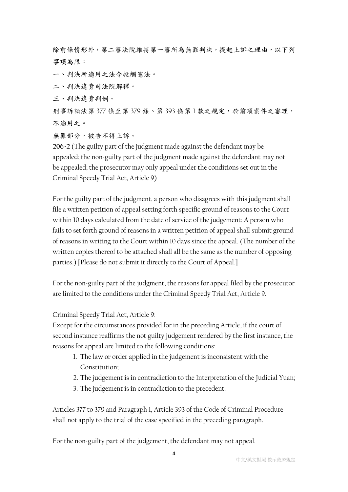除前條情形外,第二審法院維持第一審所為無罪判決,提起上訴之理由,以下列 事項為限:

一、判決所適用之法令牴觸憲法。

二、判決違背司法院解釋。

三、判決違背判例。

刑事訴訟法第 377 條至第 379 條、第 393 條第1款之規定,於前項案件之審理, 不適用之。

無罪部分,被告不得上訴。

**206-2** (The guilty part of the judgment made against the defendant may be appealed; the non-guilty part of the judgment made against the defendant may not be appealed; the prosecutor may only appeal under the conditions set out in the Criminal Speedy Trial Act, Article 9)

For the guilty part of the judgment, a person who disagrees with this judgment shall file a written petition of appeal setting forth specific ground of reasons to the Court within 10 days calculated from the date of service of the judgement; A person who fails to set forth ground of reasons in a written petition of appeal shall submit ground of reasons in writing to the Court within 10 days since the appeal. (The number of the written copies thereof to be attached shall all be the same as the number of opposing parties.) [Please do not submit it directly to the Court of Appeal.]

For the non-guilty part of the judgment, the reasons for appeal filed by the prosecutor are limited to the conditions under the Criminal Speedy Trial Act, Article 9.

Criminal Speedy Trial Act, Article 9:

Except for the circumstances provided for in the preceding Article, if the court of second instance reaffirms the not guilty judgement rendered by the first instance, the reasons for appeal are limited to the following conditions:

- 1. The law or order applied in the judgement is inconsistent with the Constitution;
- 2. The judgement is in contradiction to the Interpretation of the Judicial Yuan;
- 3. The judgement is in contradiction to the precedent.

Articles 377 to 379 and Paragraph 1, Article 393 of the Code of Criminal Procedure shall not apply to the trial of the case specified in the preceding paragraph.

For the non-guilty part of the judgement, the defendant may not appeal.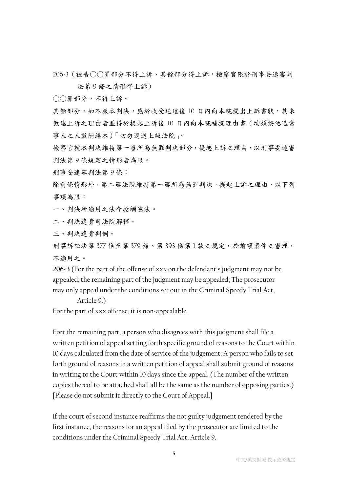206-3(被告○○罪部分不得上訴、其餘部分得上訴,檢察官限於刑事妥速審判 法第 9 條之情形得上訴)

○○罪部分,不得上訴。

其餘部分,如不服本判決,應於收受送達後 10 日內向本院提出上訴書狀,其未 敘述上訴之理由者並得於提起上訴後 10 日內向本院補提理由書(均須按他造當 事人之人數附繕本)「切勿逕送上級法院」。

檢察官就本判決維持第一審所為無罪判決部分,提起上訴之理由,以刑事妥速審 判法第 9 條規定之情形者為限。

刑事妥速審判法第 9 條:

除前條情形外,第二審法院維持第一審所為無罪判決,提起上訴之理由,以下列 事項為限:

一、判決所適用之法令牴觸憲法。

二、判決違背司法院解釋。

三、判決違背判例。

刑事訴訟法第 377 條至第 379 條、第 393 條第1款之規定,於前項案件之審理, 不適用之。

**206-3** (For the part of the offense of xxx on the defendant's judgment may not be appealed; the remaining part of the judgment may be appealed; The prosecutor may only appeal under the conditions set out in the Criminal Speedy Trial Act,

Article 9.)

For the part of xxx offense, it is non-appealable.

Fort the remaining part, a person who disagrees with this judgment shall file a written petition of appeal setting forth specific ground of reasons to the Court within 10 days calculated from the date of service of the judgement; A person who fails to set forth ground of reasons in a written petition of appeal shall submit ground of reasons in writing to the Court within 10 days since the appeal. (The number of the written copies thereof to be attached shall all be the same as the number of opposing parties.) [Please do not submit it directly to the Court of Appeal.]

If the court of second instance reaffirms the not guilty judgement rendered by the first instance, the reasons for an appeal filed by the prosecutor are limited to the conditions under the Criminal Speedy Trial Act, Article 9.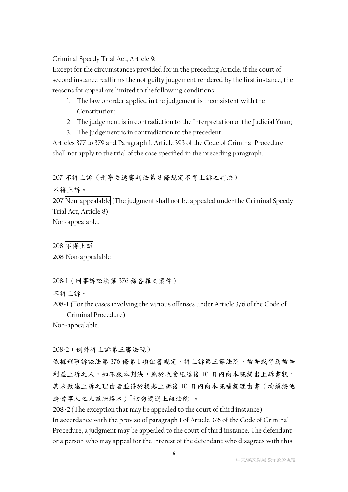Criminal Speedy Trial Act, Article 9:

Except for the circumstances provided for in the preceding Article, if the court of second instance reaffirms the not guilty judgement rendered by the first instance, the reasons for appeal are limited to the following conditions:

- 1. The law or order applied in the judgement is inconsistent with the Constitution;
- 2. The judgement is in contradiction to the Interpretation of the Judicial Yuan;
- 3. The judgement is in contradiction to the precedent.

Articles 377 to 379 and Paragraph 1, Article 393 of the Code of Criminal Procedure shall not apply to the trial of the case specified in the preceding paragraph.

207 不得上訴(刑事妥速審判法第 8 條規定不得上訴之判決)

不得上訴。

**207** Non-appealable (The judgment shall not be appealed under the Criminal Speedy Trial Act, Article 8) Non-appealable.

208 不得上訴 **208** Non-appealable

208-1(刑事訴訟法第 376 條各罪之案件)

不得上訴。

**208-1** (For the cases involving the various offenses under Article 376 of the Code of Criminal Procedure)

Non-appealable.

208-2(例外得上訴第三審法院)

依據刑事訴訟法第 376 條第1 項但書規定,得上訴第三審法院。被告或得為被告 利益上訴之人,如不服本判決,應於收受送達後 10 日內向本院提出上訴書狀, 其未敘述上訴之理由者並得於提起上訴後 10 日內向本院補提理由書(均須按他 造當事人之人數附繕本)「切勿逕送上級法院」。

**208-2** (The exception that may be appealed to the court of third instance) In accordance with the proviso of paragraph 1 of Article 376 of the Code of Criminal Procedure, a judgment may be appealed to the court of third instance. The defendant or a person who may appeal for the interest of the defendant who disagrees with this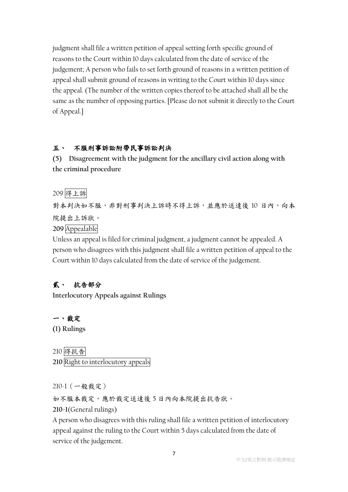judgment shall file a written petition of appeal setting forth specific ground of reasons to the Court within 10 days calculated from the date of service of the judgement; A person who fails to set forth ground of reasons in a written petition of appeal shall submit ground of reasons in writing to the Court within 10 days since the appeal. (The number of the written copies thereof to be attached shall all be the same as the number of opposing parties. [Please do not submit it directly to the Court of Appeal.]

#### 五、 不服刑事訴訟附帶民事訴訟判決

**(5) Disagreement with the judgment for the ancillary civil action along with the criminal procedure**

209 得上訴

對本判決如不服,非對刑事判決上訴時不得上訴,並應於送達後 10 日內,向本 院提出上訴狀。 **209** Appealable

Unless an appeal is filed for criminal judgment, a judgment cannot be appealed. A person who disagrees with this judgment shall file a written petition of appeal to the Court within 10 days calculated from the date of service of the judgement.

# 貳、 抗告部分

**Interlocutory Appeals against Rulings**

一、裁定 **(1) Rulings**

210 得抗告 **210** Right to interlocutory appeals

210-1(一般裁定)

如不服本裁定,應於裁定送達後 5 日內向本院提出抗告狀。

**210-1**(General rulings)

A person who disagrees with this ruling shall file a written petition of interlocutory appeal against the ruling to the Court within 5 days calculated from the date of service of the judgement.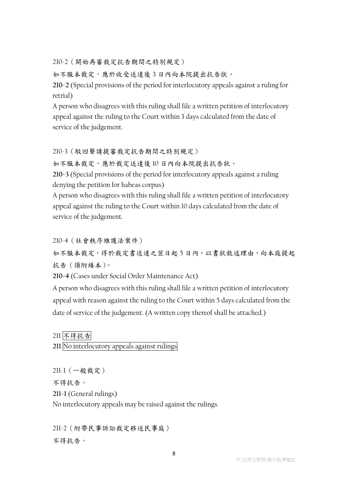210-2(開始再審裁定抗告期間之特別規定)

如不服本裁定,應於收受送達後3日內向本院提出抗告狀。

**210-2** (Special provisions of the period for interlocutory appeals against a ruling for retrial)

A person who disagrees with this ruling shall file a written petition of interlocutory appeal against the ruling to the Court within 3 days calculated from the date of service of the judgement.

#### 210-3(駁回聲請提審裁定抗告期間之特別規定)

如不服本裁定,應於裁定送達後 10 日內向本院提出抗告狀。

**210-3** (Special provisions of the period for interlocutory appeals against a ruling denying the petition for habeas corpus)

A person who disagrees with this ruling shall file a written petition of interlocutory appeal against the ruling to the Court within 10 days calculated from the date of service of the judgement.

210-4(社會秩序維護法案件)

如不服本裁定,得於裁定書送達之翌日起5日內,以書狀敘述理由,向本庭提起 抗告(須附繕本)。

**210-4** (Cases under Social Order Maintenance Act)

A person who disagrees with this ruling shall file a written petition of interlocutory appeal with reason against the ruling to the Court within 5 days calculated from the date of service of the judgement. (A written copy thereof shall be attached.)

211 不得抗告

**211** No interlocutory appeals against rulings

211-1(一般裁定)

不得抗告。

**211-1** (General rulings)

No interlocutory appeals may be raised against the rulings.

211-2(附帶民事訴訟裁定移送民事庭) 不得抗告。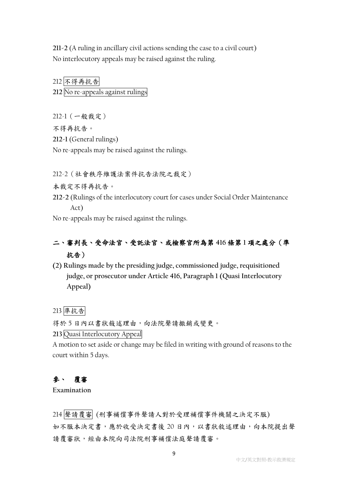**211-2** (A ruling in ancillary civil actions sending the case to a civil court) No interlocutory appeals may be raised against the ruling.

212 不得再抗告 **212** No re-appeals against rulings

212-1(一般裁定)

不得再抗告。

**212-1** (General rulings)

No re-appeals may be raised against the rulings.

212-2(社會秩序維護法案件抗告法院之裁定)

本裁定不得再抗告。

**212-2** (Rulings of the interlocutory court for cases under Social Order Maintenance Act)

No re-appeals may be raised against the rulings.

# 二、審判長、受命法官、受託法官、或檢察官所為第 **416** 條第 **1** 項之處分(準 抗告)

**(2) Rulings made by the presiding judge, commissioned judge, requisitioned judge, or prosecutor under Article 416, Paragraph 1 (Quasi Interlocutory Appeal)**

### 213 準抗告

得於 5 日內以書狀敍述理由,向法院聲請撤銷或變更。

**213** Quasi Interlocutory Appeal

A motion to set aside or change may be filed in writing with ground of reasons to the court within 5 days.

## 參、 覆審

**Examination**

214 聲請覆審 (刑事補償事件聲請人對於受理補償事件機關之決定不服) 如不服本決定書,應於收受決定書後 20 日內,以書狀敘述理由,向本院提出聲 請覆審狀,經由本院向司法院刑事補償法庭聲請覆審。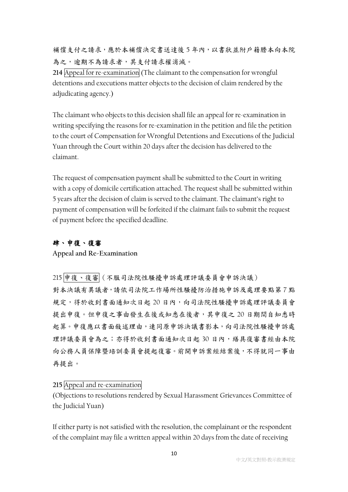補償支付之請求,應於本補償決定書送達後 5年內,以書狀並附戶籍謄本向本院 為之,逾期不為請求者,其支付請求權消滅。

**214** Appeal for re-examination (The claimant to the compensation for wrongful detentions and executions matter objects to the decision of claim rendered by the adjudicating agency.)

The claimant who objects to this decision shall file an appeal for re-examination in writing specifying the reasons for re-examination in the petition and file the petition to the court of Compensation for Wrongful Detentions and Executions of the Judicial Yuan through the Court within 20 days after the decision has delivered to the claimant.

The request of compensation payment shall be submitted to the Court in writing with a copy of domicile certification attached. The request shall be submitted within 5 years after the decision of claim is served to the claimant. The claimant's right to payment of compensation will be forfeited if the claimant fails to submit the request of payment before the specified deadline.

### 肆、申復、復審

**Appeal and Re-Examination**

215 申復、復審(不服司法院性騷擾申訴處理評議委員會申訴決議) 對本決議有異議者,請依司法院工作場所性騷擾防治措施申訴及處理要點第7點 規定,得於收到書面通知次日起 20 日內,向司法院性騷擾申訴處理評議委員會 提出申復。但申復之事由發生在後或知悉在後者,其申復之 20 日期間自知悉時 起算。申復應以書面敍述理由,連同原申訴決議書影本,向司法院性騷擾申訴處 理評議委員會為之;亦得於收到書面通知次日起 30 日內,繕具復審書經由本院 向公務人員保障暨培訓委員會提起復審。前開申訴案經結案後,不得就同一事由 再提出。

### **215** Appeal and re-examination

(Objections to resolutions rendered by Sexual Harassment Grievances Committee of the Judicial Yuan)

If either party is not satisfied with the resolution, the complainant or the respondent of the complaint may file a written appeal within 20 days from the date of receiving